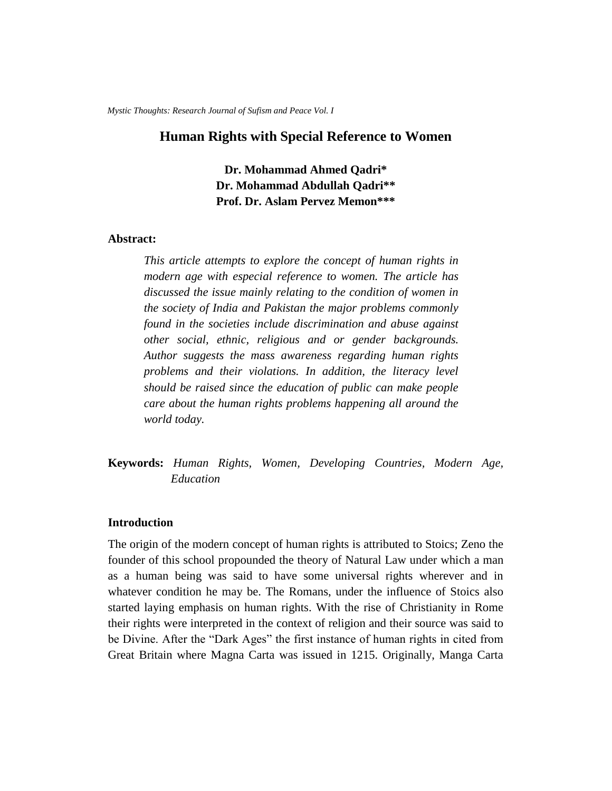*Mystic Thoughts: Research Journal of Sufism and Peace Vol. I*

# **Human Rights with Special Reference to Women**

**Dr. Mohammad Ahmed Qadri\* Dr. Mohammad Abdullah Qadri\*\* Prof. Dr. Aslam Pervez Memon\*\*\***

## **Abstract:**

*This article attempts to explore the concept of human rights in modern age with especial reference to women. The article has discussed the issue mainly relating to the condition of women in the society of India and Pakistan the major problems commonly found in the societies include discrimination and abuse against other social, ethnic, religious and or gender backgrounds. Author suggests the mass awareness regarding human rights problems and their violations. In addition, the literacy level should be raised since the education of public can make people care about the human rights problems happening all around the world today.* 

**Keywords:** *Human Rights, Women, Developing Countries, Modern Age, Education*

#### **Introduction**

The origin of the modern concept of human rights is attributed to Stoics; Zeno the founder of this school propounded the theory of Natural Law under which a man as a human being was said to have some universal rights wherever and in whatever condition he may be. The Romans, under the influence of Stoics also started laying emphasis on human rights. With the rise of Christianity in Rome their rights were interpreted in the context of religion and their source was said to be Divine. After the "Dark Ages" the first instance of human rights in cited from Great Britain where Magna Carta was issued in 1215. Originally, Manga Carta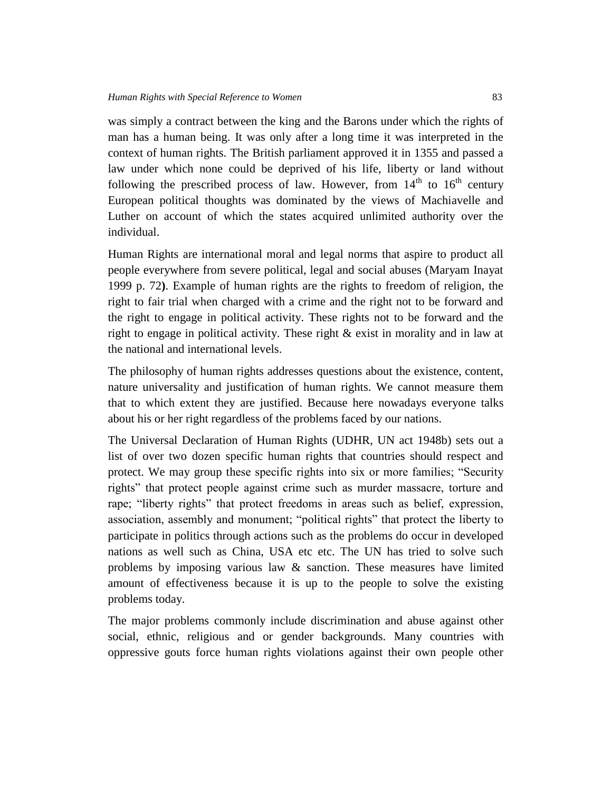was simply a contract between the king and the Barons under which the rights of man has a human being. It was only after a long time it was interpreted in the context of human rights. The British parliament approved it in 1355 and passed a law under which none could be deprived of his life, liberty or land without following the prescribed process of law. However, from  $14<sup>th</sup>$  to  $16<sup>th</sup>$  century European political thoughts was dominated by the views of Machiavelle and Luther on account of which the states acquired unlimited authority over the individual.

Human Rights are international moral and legal norms that aspire to product all people everywhere from severe political, legal and social abuses (Maryam Inayat 1999 p. 72**)**. Example of human rights are the rights to freedom of religion, the right to fair trial when charged with a crime and the right not to be forward and the right to engage in political activity. These rights not to be forward and the right to engage in political activity. These right & exist in morality and in law at the national and international levels.

The philosophy of human rights addresses questions about the existence, content, nature universality and justification of human rights. We cannot measure them that to which extent they are justified. Because here nowadays everyone talks about his or her right regardless of the problems faced by our nations.

The Universal Declaration of Human Rights (UDHR, UN act 1948b) sets out a list of over two dozen specific human rights that countries should respect and protect. We may group these specific rights into six or more families; "Security rights" that protect people against crime such as murder massacre, torture and rape; "liberty rights" that protect freedoms in areas such as belief, expression, association, assembly and monument; "political rights" that protect the liberty to participate in politics through actions such as the problems do occur in developed nations as well such as China, USA etc etc. The UN has tried to solve such problems by imposing various law & sanction. These measures have limited amount of effectiveness because it is up to the people to solve the existing problems today.

The major problems commonly include discrimination and abuse against other social, ethnic, religious and or gender backgrounds. Many countries with oppressive gouts force human rights violations against their own people other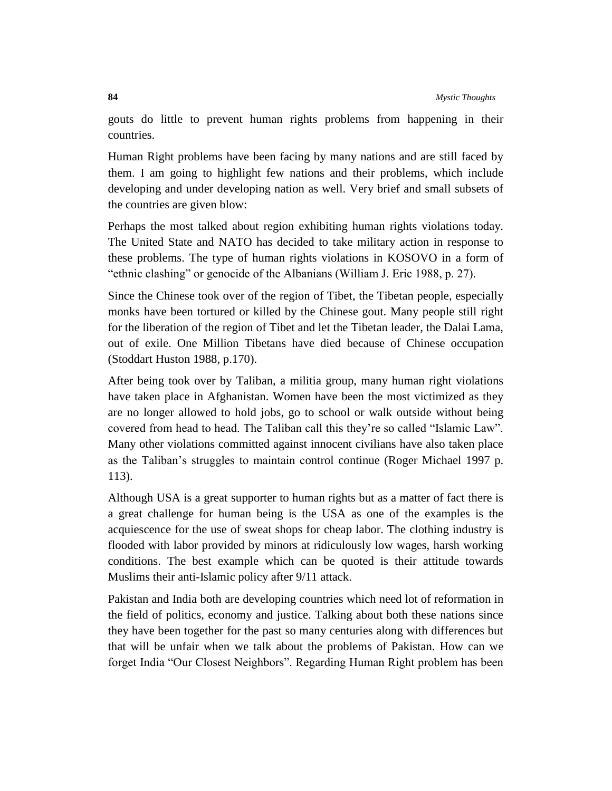gouts do little to prevent human rights problems from happening in their countries.

Human Right problems have been facing by many nations and are still faced by them. I am going to highlight few nations and their problems, which include developing and under developing nation as well. Very brief and small subsets of the countries are given blow:

Perhaps the most talked about region exhibiting human rights violations today. The United State and NATO has decided to take military action in response to these problems. The type of human rights violations in KOSOVO in a form of "ethnic clashing" or genocide of the Albanians (William J. Eric 1988, p. 27).

Since the Chinese took over of the region of Tibet, the Tibetan people, especially monks have been tortured or killed by the Chinese gout. Many people still right for the liberation of the region of Tibet and let the Tibetan leader, the Dalai Lama, out of exile. One Million Tibetans have died because of Chinese occupation (Stoddart Huston 1988, p.170).

After being took over by Taliban, a militia group, many human right violations have taken place in Afghanistan. Women have been the most victimized as they are no longer allowed to hold jobs, go to school or walk outside without being covered from head to head. The Taliban call this they're so called "Islamic Law". Many other violations committed against innocent civilians have also taken place as the Taliban's struggles to maintain control continue (Roger Michael 1997 p. 113).

Although USA is a great supporter to human rights but as a matter of fact there is a great challenge for human being is the USA as one of the examples is the acquiescence for the use of sweat shops for cheap labor. The clothing industry is flooded with labor provided by minors at ridiculously low wages, harsh working conditions. The best example which can be quoted is their attitude towards Muslims their anti-Islamic policy after 9/11 attack.

Pakistan and India both are developing countries which need lot of reformation in the field of politics, economy and justice. Talking about both these nations since they have been together for the past so many centuries along with differences but that will be unfair when we talk about the problems of Pakistan. How can we forget India "Our Closest Neighbors". Regarding Human Right problem has been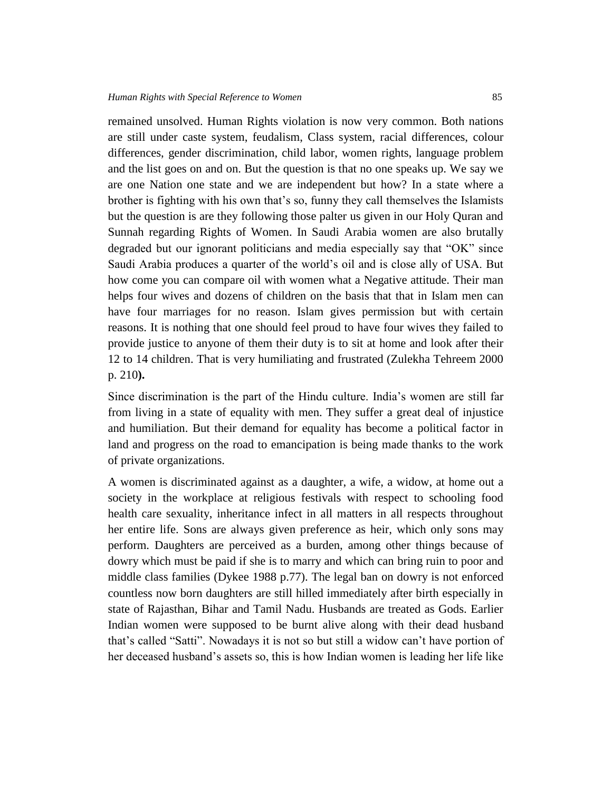remained unsolved. Human Rights violation is now very common. Both nations are still under caste system, feudalism, Class system, racial differences, colour differences, gender discrimination, child labor, women rights, language problem and the list goes on and on. But the question is that no one speaks up. We say we are one Nation one state and we are independent but how? In a state where a brother is fighting with his own that's so, funny they call themselves the Islamists but the question is are they following those palter us given in our Holy Quran and Sunnah regarding Rights of Women. In Saudi Arabia women are also brutally degraded but our ignorant politicians and media especially say that "OK" since Saudi Arabia produces a quarter of the world's oil and is close ally of USA. But how come you can compare oil with women what a Negative attitude. Their man helps four wives and dozens of children on the basis that that in Islam men can have four marriages for no reason. Islam gives permission but with certain reasons. It is nothing that one should feel proud to have four wives they failed to provide justice to anyone of them their duty is to sit at home and look after their 12 to 14 children. That is very humiliating and frustrated (Zulekha Tehreem 2000 p. 210**).** 

Since discrimination is the part of the Hindu culture. India's women are still far from living in a state of equality with men. They suffer a great deal of injustice and humiliation. But their demand for equality has become a political factor in land and progress on the road to emancipation is being made thanks to the work of private organizations.

A women is discriminated against as a daughter, a wife, a widow, at home out a society in the workplace at religious festivals with respect to schooling food health care sexuality, inheritance infect in all matters in all respects throughout her entire life. Sons are always given preference as heir, which only sons may perform. Daughters are perceived as a burden, among other things because of dowry which must be paid if she is to marry and which can bring ruin to poor and middle class families (Dykee 1988 p.77). The legal ban on dowry is not enforced countless now born daughters are still hilled immediately after birth especially in state of Rajasthan, Bihar and Tamil Nadu. Husbands are treated as Gods. Earlier Indian women were supposed to be burnt alive along with their dead husband that's called "Satti". Nowadays it is not so but still a widow can't have portion of her deceased husband's assets so, this is how Indian women is leading her life like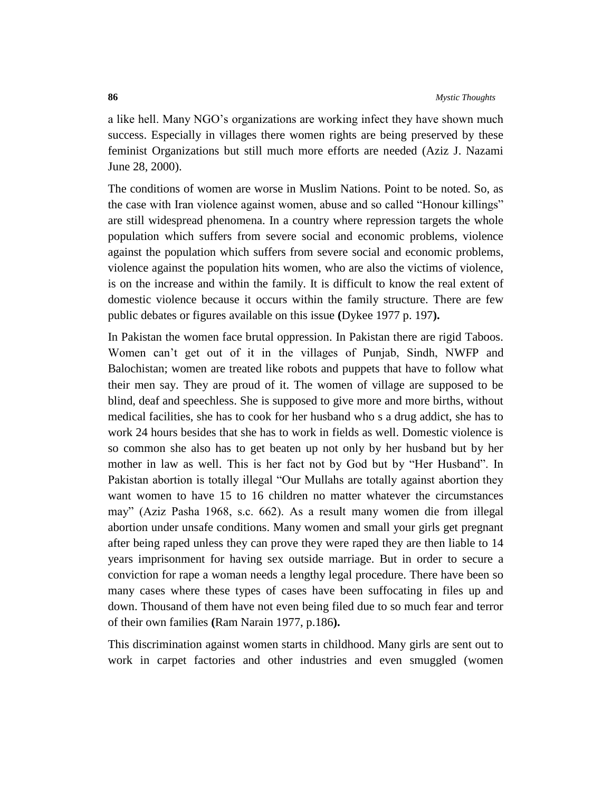a like hell. Many NGO's organizations are working infect they have shown much success. Especially in villages there women rights are being preserved by these feminist Organizations but still much more efforts are needed (Aziz J. Nazami June 28, 2000).

The conditions of women are worse in Muslim Nations. Point to be noted. So, as the case with Iran violence against women, abuse and so called "Honour killings" are still widespread phenomena. In a country where repression targets the whole population which suffers from severe social and economic problems, violence against the population which suffers from severe social and economic problems, violence against the population hits women, who are also the victims of violence, is on the increase and within the family. It is difficult to know the real extent of domestic violence because it occurs within the family structure. There are few public debates or figures available on this issue **(**Dykee 1977 p. 197**).**

In Pakistan the women face brutal oppression. In Pakistan there are rigid Taboos. Women can't get out of it in the villages of Punjab, Sindh, NWFP and Balochistan; women are treated like robots and puppets that have to follow what their men say. They are proud of it. The women of village are supposed to be blind, deaf and speechless. She is supposed to give more and more births, without medical facilities, she has to cook for her husband who s a drug addict, she has to work 24 hours besides that she has to work in fields as well. Domestic violence is so common she also has to get beaten up not only by her husband but by her mother in law as well. This is her fact not by God but by "Her Husband". In Pakistan abortion is totally illegal "Our Mullahs are totally against abortion they want women to have 15 to 16 children no matter whatever the circumstances may" (Aziz Pasha 1968, s.c. 662). As a result many women die from illegal abortion under unsafe conditions. Many women and small your girls get pregnant after being raped unless they can prove they were raped they are then liable to 14 years imprisonment for having sex outside marriage. But in order to secure a conviction for rape a woman needs a lengthy legal procedure. There have been so many cases where these types of cases have been suffocating in files up and down. Thousand of them have not even being filed due to so much fear and terror of their own families **(**Ram Narain 1977, p.186**).**

This discrimination against women starts in childhood. Many girls are sent out to work in carpet factories and other industries and even smuggled (women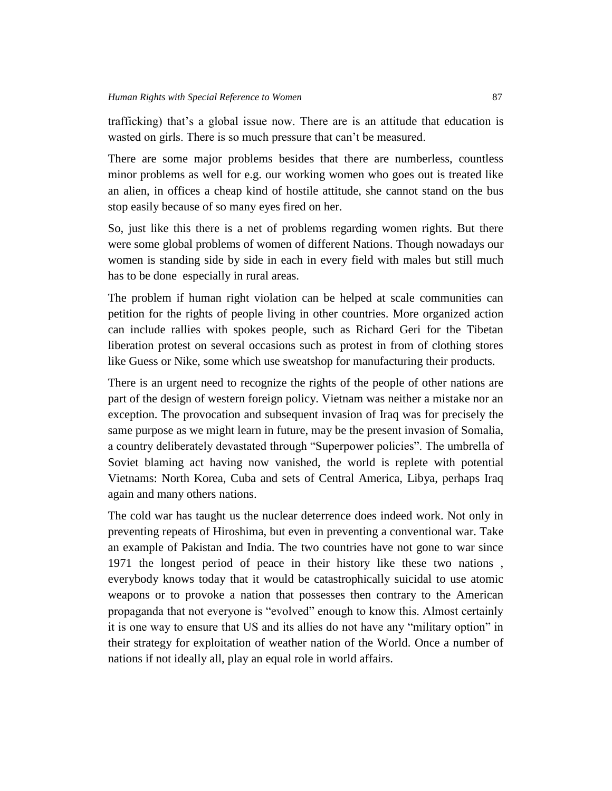trafficking) that's a global issue now. There are is an attitude that education is wasted on girls. There is so much pressure that can't be measured.

There are some major problems besides that there are numberless, countless minor problems as well for e.g. our working women who goes out is treated like an alien, in offices a cheap kind of hostile attitude, she cannot stand on the bus stop easily because of so many eyes fired on her.

So, just like this there is a net of problems regarding women rights. But there were some global problems of women of different Nations. Though nowadays our women is standing side by side in each in every field with males but still much has to be done especially in rural areas.

The problem if human right violation can be helped at scale communities can petition for the rights of people living in other countries. More organized action can include rallies with spokes people, such as Richard Geri for the Tibetan liberation protest on several occasions such as protest in from of clothing stores like Guess or Nike, some which use sweatshop for manufacturing their products.

There is an urgent need to recognize the rights of the people of other nations are part of the design of western foreign policy. Vietnam was neither a mistake nor an exception. The provocation and subsequent invasion of Iraq was for precisely the same purpose as we might learn in future, may be the present invasion of Somalia, a country deliberately devastated through "Superpower policies". The umbrella of Soviet blaming act having now vanished, the world is replete with potential Vietnams: North Korea, Cuba and sets of Central America, Libya, perhaps Iraq again and many others nations.

The cold war has taught us the nuclear deterrence does indeed work. Not only in preventing repeats of Hiroshima, but even in preventing a conventional war. Take an example of Pakistan and India. The two countries have not gone to war since 1971 the longest period of peace in their history like these two nations , everybody knows today that it would be catastrophically suicidal to use atomic weapons or to provoke a nation that possesses then contrary to the American propaganda that not everyone is "evolved" enough to know this. Almost certainly it is one way to ensure that US and its allies do not have any "military option" in their strategy for exploitation of weather nation of the World. Once a number of nations if not ideally all, play an equal role in world affairs.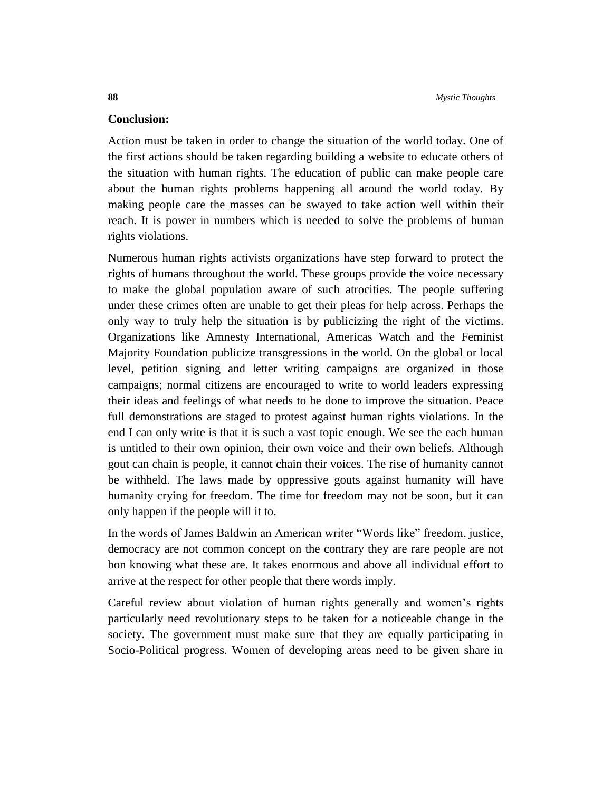### **Conclusion:**

Action must be taken in order to change the situation of the world today. One of the first actions should be taken regarding building a website to educate others of the situation with human rights. The education of public can make people care about the human rights problems happening all around the world today. By making people care the masses can be swayed to take action well within their reach. It is power in numbers which is needed to solve the problems of human rights violations.

Numerous human rights activists organizations have step forward to protect the rights of humans throughout the world. These groups provide the voice necessary to make the global population aware of such atrocities. The people suffering under these crimes often are unable to get their pleas for help across. Perhaps the only way to truly help the situation is by publicizing the right of the victims. Organizations like Amnesty International, Americas Watch and the Feminist Majority Foundation publicize transgressions in the world. On the global or local level, petition signing and letter writing campaigns are organized in those campaigns; normal citizens are encouraged to write to world leaders expressing their ideas and feelings of what needs to be done to improve the situation. Peace full demonstrations are staged to protest against human rights violations. In the end I can only write is that it is such a vast topic enough. We see the each human is untitled to their own opinion, their own voice and their own beliefs. Although gout can chain is people, it cannot chain their voices. The rise of humanity cannot be withheld. The laws made by oppressive gouts against humanity will have humanity crying for freedom. The time for freedom may not be soon, but it can only happen if the people will it to.

In the words of James Baldwin an American writer "Words like" freedom, justice, democracy are not common concept on the contrary they are rare people are not bon knowing what these are. It takes enormous and above all individual effort to arrive at the respect for other people that there words imply.

Careful review about violation of human rights generally and women's rights particularly need revolutionary steps to be taken for a noticeable change in the society. The government must make sure that they are equally participating in Socio-Political progress. Women of developing areas need to be given share in